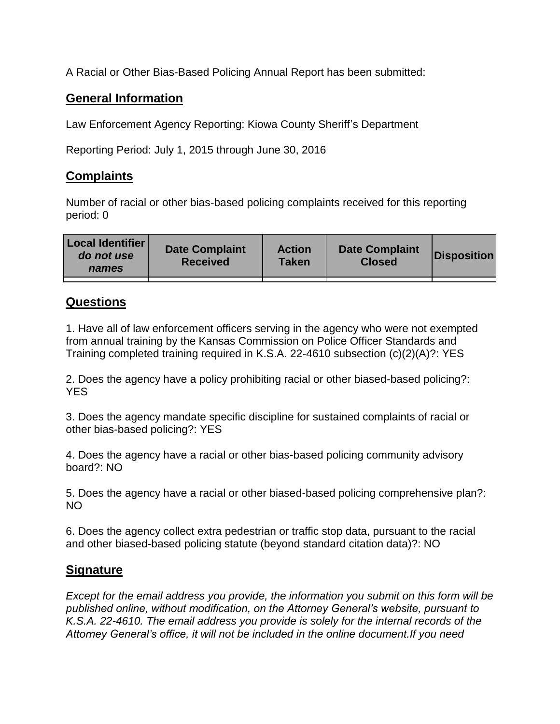A Racial or Other Bias-Based Policing Annual Report has been submitted:

## **General Information**

Law Enforcement Agency Reporting: Kiowa County Sheriff's Department

Reporting Period: July 1, 2015 through June 30, 2016

## **Complaints**

Number of racial or other bias-based policing complaints received for this reporting period: 0

| <b>Local Identifier</b><br>do not use<br>names | <b>Date Complaint</b><br><b>Received</b> | <b>Action</b><br><b>Taken</b> | <b>Date Complaint</b><br><b>Closed</b> | Disposition |
|------------------------------------------------|------------------------------------------|-------------------------------|----------------------------------------|-------------|
|                                                |                                          |                               |                                        |             |

## **Questions**

1. Have all of law enforcement officers serving in the agency who were not exempted from annual training by the Kansas Commission on Police Officer Standards and Training completed training required in K.S.A. 22-4610 subsection (c)(2)(A)?: YES

2. Does the agency have a policy prohibiting racial or other biased-based policing?: YES

3. Does the agency mandate specific discipline for sustained complaints of racial or other bias-based policing?: YES

4. Does the agency have a racial or other bias-based policing community advisory board?: NO

5. Does the agency have a racial or other biased-based policing comprehensive plan?: NO

6. Does the agency collect extra pedestrian or traffic stop data, pursuant to the racial and other biased-based policing statute (beyond standard citation data)?: NO

## **Signature**

*Except for the email address you provide, the information you submit on this form will be published online, without modification, on the Attorney General's website, pursuant to K.S.A. 22-4610. The email address you provide is solely for the internal records of the Attorney General's office, it will not be included in the online document.If you need*